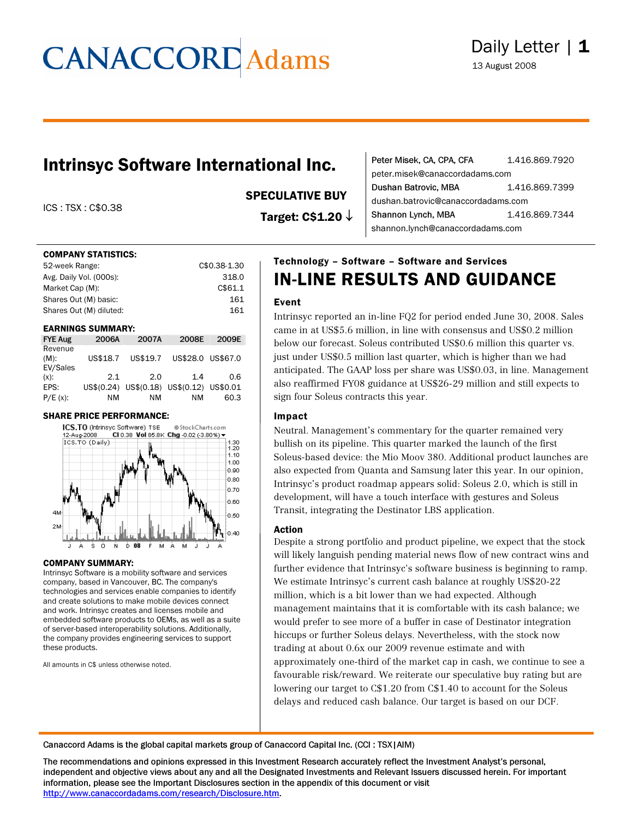### Intrinsyc Software International Inc.

ICS : TSX : C\$0.38

#### COMPANY STATISTICS:

| 52-week Range:          | C\$0.38-1.30 |
|-------------------------|--------------|
| Avg. Daily Vol. (000s): | 318.0        |
| Market Cap (M):         | C\$61.1      |
| Shares Out (M) basic:   | 161          |
| Shares Out (M) diluted: | 161          |
|                         |              |

#### EARNINGS SUMMARY:

| <b>FYE Aug</b>                 | 2006A    | 2007A                                     | 2008E             | 2009E |
|--------------------------------|----------|-------------------------------------------|-------------------|-------|
| Revenue<br>$(M)$ :<br>EV/Sales | US\$18.7 | US\$19.7                                  | US\$28.0 US\$67.0 |       |
| $(x)$ :                        | 2.1      | 2.0                                       | 1.4               | 0.6   |
| EPS:                           |          | US\$(0.24) US\$(0.18) US\$(0.12) US\$0.01 |                   |       |
| $P/E(x)$ :                     | ΝM       | ΝM                                        | ΝM                | 60.3  |

#### SHARE PRICE PERFORMANCE:



#### COMPANY SUMMARY:

Intrinsyc Software is a mobility software and services company, based in Vancouver, BC. The company's technologies and services enable companies to identify and create solutions to make mobile devices connect and work. Intrinsyc creates and licenses mobile and embedded software products to OEMs, as well as a suite of server-based interoperability solutions. Additionally, the company provides engineering services to support these products.

All amounts in C\$ unless otherwise noted.

### SPECULATIVE BUY

Target: C\$1.20 ↓

| Peter Misek, CA, CPA, CFA          | 1.416.869.7920 |  |  |  |
|------------------------------------|----------------|--|--|--|
| peter.misek@canaccordadams.com     |                |  |  |  |
| Dushan Batrovic, MBA               | 1.416.869.7399 |  |  |  |
| dushan.batrovic@canaccordadams.com |                |  |  |  |
| Shannon Lynch, MBA                 | 1.416.869.7344 |  |  |  |
| shannon.lynch@canaccordadams.com   |                |  |  |  |

### Technology – Software – Software and Services IN-LINE RESULTS AND GUIDANCE

#### Event

Intrinsyc reported an in-line FQ2 for period ended June 30, 2008. Sales came in at US\$5.6 million, in line with consensus and US\$0.2 million below our forecast. Soleus contributed US\$0.6 million this quarter vs. just under US\$0.5 million last quarter, which is higher than we had anticipated. The GAAP loss per share was US\$0.03, in line. Management also reaffirmed FY08 guidance at US\$26-29 million and still expects to sign four Soleus contracts this year.

#### Impact

Neutral. Management's commentary for the quarter remained very bullish on its pipeline. This quarter marked the launch of the first Soleus-based device: the Mio Moov 380. Additional product launches are also expected from Quanta and Samsung later this year. In our opinion, Intrinsyc's product roadmap appears solid: Soleus 2.0, which is still in development, will have a touch interface with gestures and Soleus Transit, integrating the Destinator LBS application.

#### Action

Despite a strong portfolio and product pipeline, we expect that the stock will likely languish pending material news flow of new contract wins and further evidence that Intrinsyc's software business is beginning to ramp. We estimate Intrinsyc's current cash balance at roughly US\$20-22 million, which is a bit lower than we had expected. Although management maintains that it is comfortable with its cash balance; we would prefer to see more of a buffer in case of Destinator integration hiccups or further Soleus delays. Nevertheless, with the stock now trading at about 0.6x our 2009 revenue estimate and with approximately one-third of the market cap in cash, we continue to see a favourable risk/reward. We reiterate our speculative buy rating but are lowering our target to C\$1.20 from C\$1.40 to account for the Soleus delays and reduced cash balance. Our target is based on our DCF.

Canaccord Adams is the global capital markets group of Canaccord Capital Inc. (CCI : TSX|AIM)

The recommendations and opinions expressed in this Investment Research accurately reflect the Investment Analyst's personal, independent and objective views about any and all the Designated Investments and Relevant Issuers discussed herein. For important information, please see the Important Disclosures section in the appendix of this document or visit <http://www.canaccordadams.com/research/Disclosure.htm>.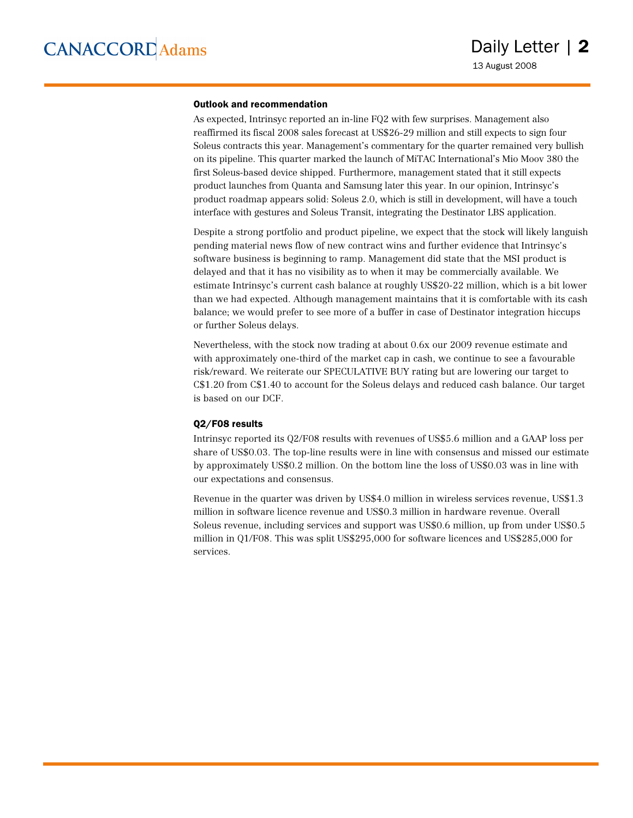#### Outlook and recommendation

As expected, Intrinsyc reported an in-line FQ2 with few surprises. Management also reaffirmed its fiscal 2008 sales forecast at US\$26-29 million and still expects to sign four Soleus contracts this year. Management's commentary for the quarter remained very bullish on its pipeline. This quarter marked the launch of MiTAC International's Mio Moov 380 the first Soleus-based device shipped. Furthermore, management stated that it still expects product launches from Quanta and Samsung later this year. In our opinion, Intrinsyc's product roadmap appears solid: Soleus 2.0, which is still in development, will have a touch interface with gestures and Soleus Transit, integrating the Destinator LBS application.

Despite a strong portfolio and product pipeline, we expect that the stock will likely languish pending material news flow of new contract wins and further evidence that Intrinsyc's software business is beginning to ramp. Management did state that the MSI product is delayed and that it has no visibility as to when it may be commercially available. We estimate Intrinsyc's current cash balance at roughly US\$20-22 million, which is a bit lower than we had expected. Although management maintains that it is comfortable with its cash balance; we would prefer to see more of a buffer in case of Destinator integration hiccups or further Soleus delays.

Nevertheless, with the stock now trading at about 0.6x our 2009 revenue estimate and with approximately one-third of the market cap in cash, we continue to see a favourable risk/reward. We reiterate our SPECULATIVE BUY rating but are lowering our target to C\$1.20 from C\$1.40 to account for the Soleus delays and reduced cash balance. Our target is based on our DCF.

#### Q2/F08 results

Intrinsyc reported its Q2/F08 results with revenues of US\$5.6 million and a GAAP loss per share of US\$0.03. The top-line results were in line with consensus and missed our estimate by approximately US\$0.2 million. On the bottom line the loss of US\$0.03 was in line with our expectations and consensus.

Revenue in the quarter was driven by US\$4.0 million in wireless services revenue, US\$1.3 million in software licence revenue and US\$0.3 million in hardware revenue. Overall Soleus revenue, including services and support was US\$0.6 million, up from under US\$0.5 million in Q1/F08. This was split US\$295,000 for software licences and US\$285,000 for services.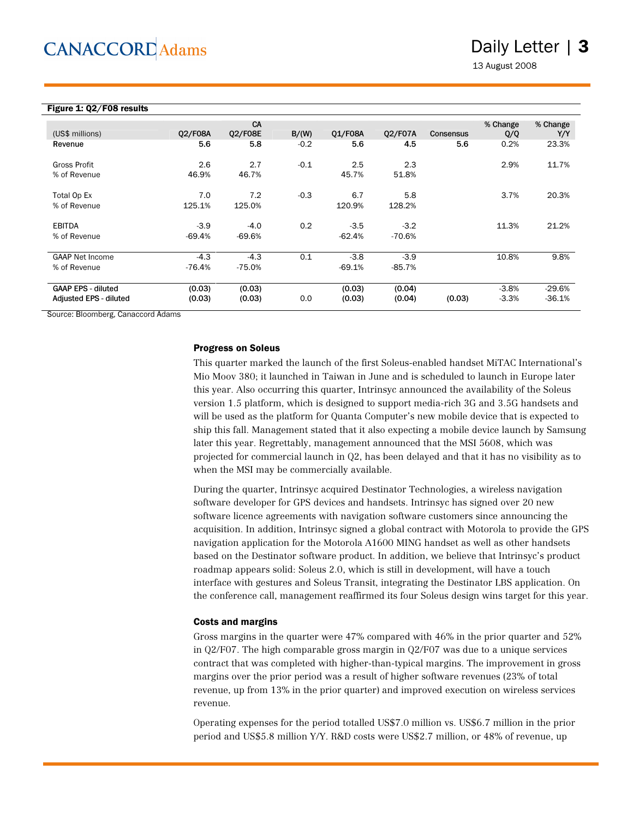### Daily Letter | 3

13 August 2008

| Figure 1: 02/F08 results                            |                    |                      |        |                    |                    |                  |                    |                      |
|-----------------------------------------------------|--------------------|----------------------|--------|--------------------|--------------------|------------------|--------------------|----------------------|
| (US\$ millions)                                     | 02/F08A            | CA<br><b>Q2/F08E</b> | B/(W)  | 01/F08A            | 02/F07A            | <b>Consensus</b> | % Change<br>Q/Q    | % Change<br>Y/Y      |
| Revenue                                             | 5.6                | 5.8                  | $-0.2$ | 5.6                | 4.5                | 5.6              | 0.2%               | 23.3%                |
| Gross Profit<br>% of Revenue                        | 2.6<br>46.9%       | 2.7<br>46.7%         | $-0.1$ | 2.5<br>45.7%       | 2.3<br>51.8%       |                  | 2.9%               | 11.7%                |
| Total Op Ex<br>% of Revenue                         | 7.0<br>125.1%      | 7.2<br>125.0%        | $-0.3$ | 6.7<br>120.9%      | 5.8<br>128.2%      |                  | 3.7%               | 20.3%                |
| <b>EBITDA</b><br>% of Revenue                       | $-3.9$<br>$-69.4%$ | $-4.0$<br>$-69.6%$   | 0.2    | $-3.5$<br>$-62.4%$ | $-3.2$<br>$-70.6%$ |                  | 11.3%              | 21.2%                |
| <b>GAAP Net Income</b><br>% of Revenue              | $-4.3$<br>$-76.4%$ | $-4.3$<br>$-75.0%$   | 0.1    | $-3.8$<br>$-69.1%$ | $-3.9$<br>$-85.7%$ |                  | 10.8%              | 9.8%                 |
| <b>GAAP EPS - diluted</b><br>Adjusted EPS - diluted | (0.03)<br>(0.03)   | (0.03)<br>(0.03)     | 0.0    | (0.03)<br>(0.03)   | (0.04)<br>(0.04)   | (0.03)           | $-3.8%$<br>$-3.3%$ | $-29.6%$<br>$-36.1%$ |

Source: Bloomberg, Canaccord Adams

#### Progress on Soleus

This quarter marked the launch of the first Soleus-enabled handset MiTAC International's Mio Moov 380; it launched in Taiwan in June and is scheduled to launch in Europe later this year. Also occurring this quarter, Intrinsyc announced the availability of the Soleus version 1.5 platform, which is designed to support media-rich 3G and 3.5G handsets and will be used as the platform for Quanta Computer's new mobile device that is expected to ship this fall. Management stated that it also expecting a mobile device launch by Samsung later this year. Regrettably, management announced that the MSI 5608, which was projected for commercial launch in Q2, has been delayed and that it has no visibility as to when the MSI may be commercially available.

During the quarter, Intrinsyc acquired Destinator Technologies, a wireless navigation software developer for GPS devices and handsets. Intrinsyc has signed over 20 new software licence agreements with navigation software customers since announcing the acquisition. In addition, Intrinsyc signed a global contract with Motorola to provide the GPS navigation application for the Motorola A1600 MING handset as well as other handsets based on the Destinator software product. In addition, we believe that Intrinsyc's product roadmap appears solid: Soleus 2.0, which is still in development, will have a touch interface with gestures and Soleus Transit, integrating the Destinator LBS application. On the conference call, management reaffirmed its four Soleus design wins target for this year.

#### Costs and margins

Gross margins in the quarter were 47% compared with 46% in the prior quarter and 52% in Q2/F07. The high comparable gross margin in Q2/F07 was due to a unique services contract that was completed with higher-than-typical margins. The improvement in gross margins over the prior period was a result of higher software revenues (23% of total revenue, up from 13% in the prior quarter) and improved execution on wireless services revenue.

Operating expenses for the period totalled US\$7.0 million vs. US\$6.7 million in the prior period and US\$5.8 million Y/Y. R&D costs were US\$2.7 million, or 48% of revenue, up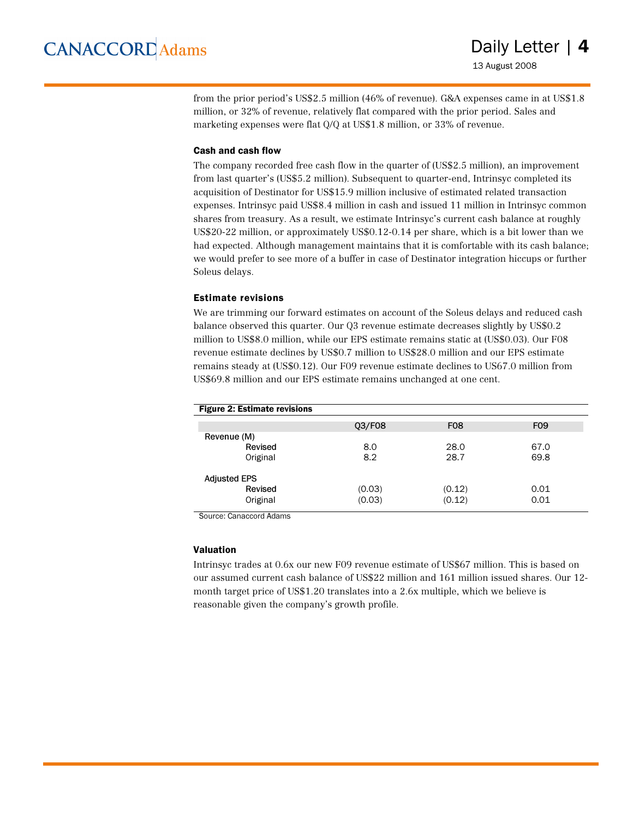from the prior period's US\$2.5 million (46% of revenue). G&A expenses came in at US\$1.8 million, or 32% of revenue, relatively flat compared with the prior period. Sales and marketing expenses were flat Q/Q at US\$1.8 million, or 33% of revenue.

#### Cash and cash flow

The company recorded free cash flow in the quarter of (US\$2.5 million), an improvement from last quarter's (US\$5.2 million). Subsequent to quarter-end, Intrinsyc completed its acquisition of Destinator for US\$15.9 million inclusive of estimated related transaction expenses. Intrinsyc paid US\$8.4 million in cash and issued 11 million in Intrinsyc common shares from treasury. As a result, we estimate Intrinsyc's current cash balance at roughly US\$20-22 million, or approximately US\$0.12-0.14 per share, which is a bit lower than we had expected. Although management maintains that it is comfortable with its cash balance; we would prefer to see more of a buffer in case of Destinator integration hiccups or further Soleus delays.

#### Estimate revisions

We are trimming our forward estimates on account of the Soleus delays and reduced cash balance observed this quarter. Our Q3 revenue estimate decreases slightly by US\$0.2 million to US\$8.0 million, while our EPS estimate remains static at (US\$0.03). Our F08 revenue estimate declines by US\$0.7 million to US\$28.0 million and our EPS estimate remains steady at (US\$0.12). Our F09 revenue estimate declines to US67.0 million from US\$69.8 million and our EPS estimate remains unchanged at one cent.

| <b>Figure 2: Estimate revisions</b> |        |            |            |
|-------------------------------------|--------|------------|------------|
|                                     | Q3/F08 | <b>F08</b> | <b>F09</b> |
| Revenue (M)                         |        |            |            |
| Revised                             | 8.0    | 28.0       | 67.0       |
| Original                            | 8.2    | 28.7       | 69.8       |
| <b>Adjusted EPS</b>                 |        |            |            |
| Revised                             | (0.03) | (0.12)     | 0.01       |
| Original                            | (0.03) | (0.12)     | 0.01       |

Source: Canaccord Adams

#### Valuation

Intrinsyc trades at 0.6x our new F09 revenue estimate of US\$67 million. This is based on our assumed current cash balance of US\$22 million and 161 million issued shares. Our 12 month target price of US\$1.20 translates into a 2.6x multiple, which we believe is reasonable given the company's growth profile.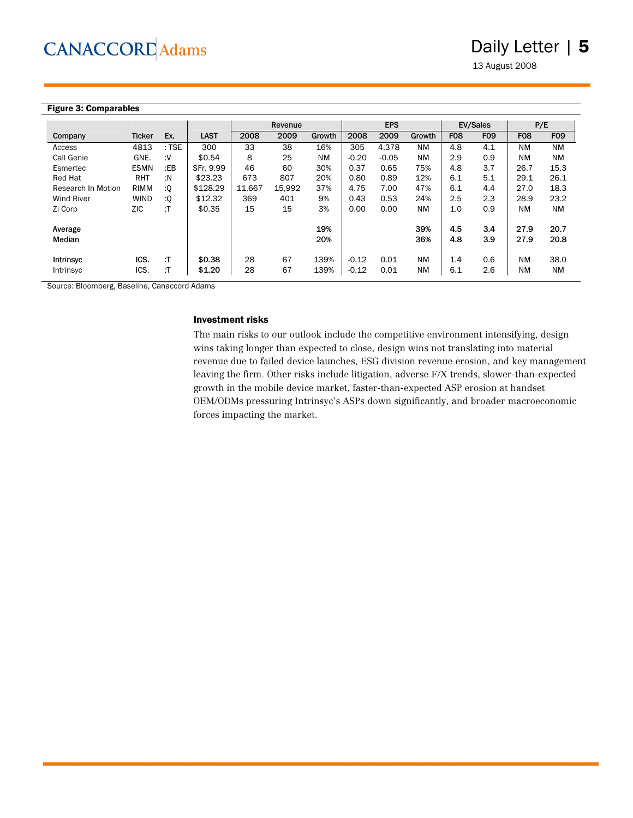13 August 2008

#### Figure 3: Comparables

|                    |               |         |             | Revenue |        |            | <b>EPS</b> |         |            | EV/Sales   |            | P/E          |              |
|--------------------|---------------|---------|-------------|---------|--------|------------|------------|---------|------------|------------|------------|--------------|--------------|
| Company            | <b>Ticker</b> | Ex.     | <b>LAST</b> | 2008    | 2009   | Growth     | 2008       | 2009    | Growth     | <b>F08</b> | <b>F09</b> | <b>F08</b>   | <b>F09</b>   |
| Access             | 4813          | $:$ TSE | 300         | 33      | 38     | 16%        | 305        | 4.378   | <b>NM</b>  | 4.8        | 4.1        | <b>NM</b>    | <b>NM</b>    |
| Call Genie         | GNE.          | ۰V:     | \$0.54      | 8       | 25     | <b>NM</b>  | $-0.20$    | $-0.05$ | <b>NM</b>  | 2.9        | 0.9        | <b>NM</b>    | <b>NM</b>    |
| Esmertec           | <b>ESMN</b>   | :EB     | SFr. 9.99   | 46      | 60     | 30%        | 0.37       | 0.65    | 75%        | 4.8        | 3.7        | 26.7         | 15.3         |
| <b>Red Hat</b>     | <b>RHT</b>    | :N      | \$23.23     | 673     | 807    | 20%        | 0.80       | 0.89    | 12%        | 6.1        | 5.1        | 29.1         | 26.1         |
| Research In Motion | <b>RIMM</b>   | ٠Q.     | \$128.29    | 11.667  | 15.992 | 37%        | 4.75       | 7.00    | 47%        | 6.1        | 4.4        | 27.0         | 18.3         |
| <b>Wind River</b>  | <b>WIND</b>   | :Q      | \$12.32     | 369     | 401    | 9%         | 0.43       | 0.53    | 24%        | 2.5        | 2.3        | 28.9         | 23.2         |
| Zi Corp            | <b>ZIC</b>    | :T      | \$0.35      | 15      | 15     | 3%         | 0.00       | 0.00    | <b>NM</b>  | 1.0        | 0.9        | <b>NM</b>    | <b>NM</b>    |
| Average<br>Median  |               |         |             |         |        | 19%<br>20% |            |         | 39%<br>36% | 4.5<br>4.8 | 3.4<br>3.9 | 27.9<br>27.9 | 20.7<br>20.8 |
| <b>Intrinsyc</b>   | ICS.          | :T      | \$0.38      | 28      | 67     | 139%       | $-0.12$    | 0.01    | <b>NM</b>  | 1.4        | 0.6        | <b>NM</b>    | 38.0         |
| Intrinsyc          | ICS.          | :T      | \$1.20      | 28      | 67     | 139%       | $-0.12$    | 0.01    | <b>NM</b>  | 6.1        | 2.6        | <b>NM</b>    | <b>NM</b>    |

Source: Bloomberg, Baseline, Canaccord Adams

#### Investment risks

The main risks to our outlook include the competitive environment intensifying, design wins taking longer than expected to close, design wins not translating into material revenue due to failed device launches, ESG division revenue erosion, and key management leaving the firm. Other risks include litigation, adverse F/X trends, slower-than-expected growth in the mobile device market, faster-than-expected ASP erosion at handset OEM/ODMs pressuring Intrinsyc's ASPs down significantly, and broader macroeconomic forces impacting the market.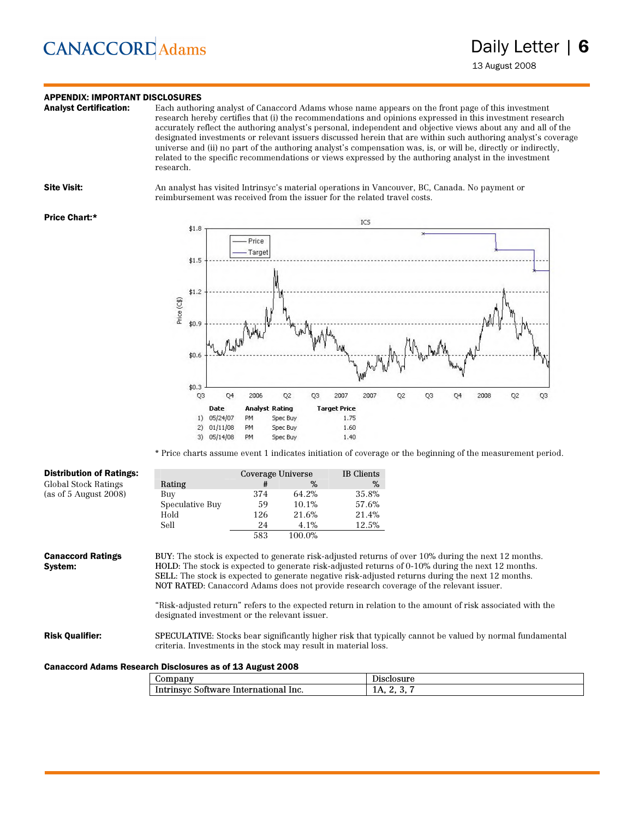### **APPENDIX: IMPORTANT DISCLOSURES**<br>**Analyst Certification:** Each author

Each authoring analyst of Canaccord Adams whose name appears on the front page of this investment research hereby certifies that (i) the recommendations and opinions expressed in this investment research accurately reflect the authoring analyst's personal, independent and objective views about any and all of the designated investments or relevant issuers discussed herein that are within such authoring analyst's coverage universe and (ii) no part of the authoring analyst's compensation was, is, or will be, directly or indirectly, related to the specific recommendations or views expressed by the authoring analyst in the investment research.

Site Visit: An analyst has visited Intrinsyc's material operations in Vancouver, BC, Canada. No payment or reimbursement was received from the issuer for the related travel costs.

#### Price Chart:\*



\* Price charts assume event 1 indicates initiation of coverage or the beginning of the measurement period.

| <b>Distribution of Ratings:</b>                           | Coverage Universe                                               |     | IB Clients |       |                                                                                                                                                                                                                                                                                                                                                                                                                                                                                                                              |
|-----------------------------------------------------------|-----------------------------------------------------------------|-----|------------|-------|------------------------------------------------------------------------------------------------------------------------------------------------------------------------------------------------------------------------------------------------------------------------------------------------------------------------------------------------------------------------------------------------------------------------------------------------------------------------------------------------------------------------------|
| Global Stock Ratings                                      | Rating                                                          | #   | $\%$       | %     |                                                                                                                                                                                                                                                                                                                                                                                                                                                                                                                              |
| (as of $5$ August 2008)                                   | Buy                                                             | 374 | 64.2%      | 35.8% |                                                                                                                                                                                                                                                                                                                                                                                                                                                                                                                              |
|                                                           | Speculative Buy                                                 | 59  | 10.1%      | 57.6% |                                                                                                                                                                                                                                                                                                                                                                                                                                                                                                                              |
|                                                           | Hold                                                            | 126 | 21.6%      | 21.4% |                                                                                                                                                                                                                                                                                                                                                                                                                                                                                                                              |
|                                                           | Sell                                                            | 24  | 4.1%       | 12.5% |                                                                                                                                                                                                                                                                                                                                                                                                                                                                                                                              |
|                                                           |                                                                 | 583 | 100.0%     |       |                                                                                                                                                                                                                                                                                                                                                                                                                                                                                                                              |
| <b>Canaccord Ratings</b><br>System:                       | designated investment or the relevant issuer.                   |     |            |       | BUY: The stock is expected to generate risk-adjusted returns of over 10% during the next 12 months.<br>HOLD: The stock is expected to generate risk-adjusted returns of 0-10% during the next 12 months.<br><b>SELL</b> : The stock is expected to generate negative risk-adjusted returns during the next 12 months.<br>NOT RATED: Canaccord Adams does not provide research coverage of the relevant issuer.<br>"Risk-adjusted return" refers to the expected return in relation to the amount of risk associated with the |
| <b>Risk Qualifier:</b>                                    | criteria. Investments in the stock may result in material loss. |     |            |       | <b>SPECULATIVE:</b> Stocks bear significantly higher risk that typically cannot be valued by normal fundamental                                                                                                                                                                                                                                                                                                                                                                                                              |
| Canaccord Adams Research Disclosures as of 13 August 2008 |                                                                 |     |            |       |                                                                                                                                                                                                                                                                                                                                                                                                                                                                                                                              |

#### Canaccord Adams Research Disclosures as of 13 August 2008

| $\omega$ ompany                                       | $0.011$ m $0.01$<br>DISCIOSUI C |
|-------------------------------------------------------|---------------------------------|
| Intrinsyc<br>mational:<br>Software<br>lnc.<br>-Interr | 11 L.<br>ູ                      |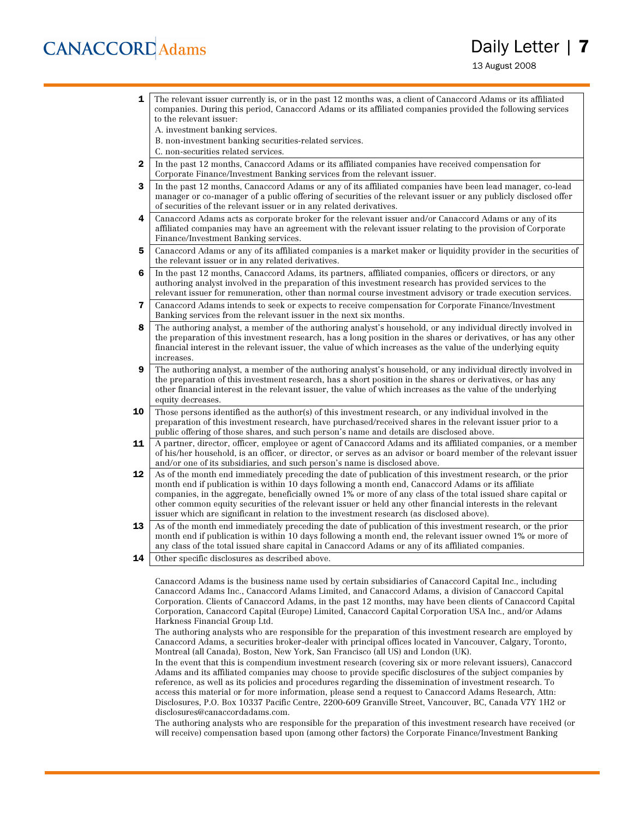### Daily Letter | **7**

13 August 2008

- **1** The relevant issuer currently is, or in the past 12 months was, a client of Canaccord Adams or its affiliated companies. During this period, Canaccord Adams or its affiliated companies provided the following services to the relevant issuer:
	- A. investment banking services.
	- B. non-investment banking securities-related services.
	- C. non-securities related services.
- 2 In the past 12 months, Canaccord Adams or its affiliated companies have received compensation for Corporate Finance/Investment Banking services from the relevant issuer.
- **3** In the past 12 months, Canaccord Adams or any of its affiliated companies have been lead manager, co-lead manager or co-manager of a public offering of securities of the relevant issuer or any publicly disclosed offer of securities of the relevant issuer or in any related derivatives.
- 4 Canaccord Adams acts as corporate broker for the relevant issuer and/or Canaccord Adams or any of its affiliated companies may have an agreement with the relevant issuer relating to the provision of Corporate Finance/Investment Banking services.
- 5 Canaccord Adams or any of its affiliated companies is a market maker or liquidity provider in the securities of the relevant issuer or in any related derivatives.
- 6 In the past 12 months, Canaccord Adams, its partners, affiliated companies, officers or directors, or any authoring analyst involved in the preparation of this investment research has provided services to the relevant issuer for remuneration, other than normal course investment advisory or trade execution services.
- 7 Canaccord Adams intends to seek or expects to receive compensation for Corporate Finance/Investment Banking services from the relevant issuer in the next six months.
- 8 The authoring analyst, a member of the authoring analyst's household, or any individual directly involved in the preparation of this investment research, has a long position in the shares or derivatives, or has any other financial interest in the relevant issuer, the value of which increases as the value of the underlying equity increases.
- **9** The authoring analyst, a member of the authoring analyst's household, or any individual directly involved in the preparation of this investment research, has a short position in the shares or derivatives, or has any other financial interest in the relevant issuer, the value of which increases as the value of the underlying equity decreases.
- **10** Those persons identified as the author(s) of this investment research, or any individual involved in the preparation of this investment research, have purchased/received shares in the relevant issuer prior to a public offering of those shares, and such person's name and details are disclosed above.
- 11 A partner, director, officer, employee or agent of Canaccord Adams and its affiliated companies, or a member of his/her household, is an officer, or director, or serves as an advisor or board member of the relevant issuer and/or one of its subsidiaries, and such person's name is disclosed above.
- 12 As of the month end immediately preceding the date of publication of this investment research, or the prior month end if publication is within 10 days following a month end, Canaccord Adams or its affiliate companies, in the aggregate, beneficially owned 1% or more of any class of the total issued share capital or other common equity securities of the relevant issuer or held any other financial interests in the relevant issuer which are significant in relation to the investment research (as disclosed above).
- 13 As of the month end immediately preceding the date of publication of this investment research, or the prior month end if publication is within 10 days following a month end, the relevant issuer owned 1% or more of any class of the total issued share capital in Canaccord Adams or any of its affiliated companies.
- **14** Other specific disclosures as described above.

Canaccord Adams is the business name used by certain subsidiaries of Canaccord Capital Inc., including Canaccord Adams Inc., Canaccord Adams Limited, and Canaccord Adams, a division of Canaccord Capital Corporation. Clients of Canaccord Adams, in the past 12 months, may have been clients of Canaccord Capital Corporation, Canaccord Capital (Europe) Limited, Canaccord Capital Corporation USA Inc., and/or Adams Harkness Financial Group Ltd.

The authoring analysts who are responsible for the preparation of this investment research are employed by Canaccord Adams, a securities broker-dealer with principal offices located in Vancouver, Calgary, Toronto, Montreal (all Canada), Boston, New York, San Francisco (all US) and London (UK).

In the event that this is compendium investment research (covering six or more relevant issuers), Canaccord Adams and its affiliated companies may choose to provide specific disclosures of the subject companies by reference, as well as its policies and procedures regarding the dissemination of investment research. To access this material or for more information, please send a request to Canaccord Adams Research, Attn: Disclosures, P.O. Box 10337 Pacific Centre, 2200-609 Granville Street, Vancouver, BC, Canada V7Y 1H2 or disclosures@canaccordadams.com.

The authoring analysts who are responsible for the preparation of this investment research have received (or will receive) compensation based upon (among other factors) the Corporate Finance/Investment Banking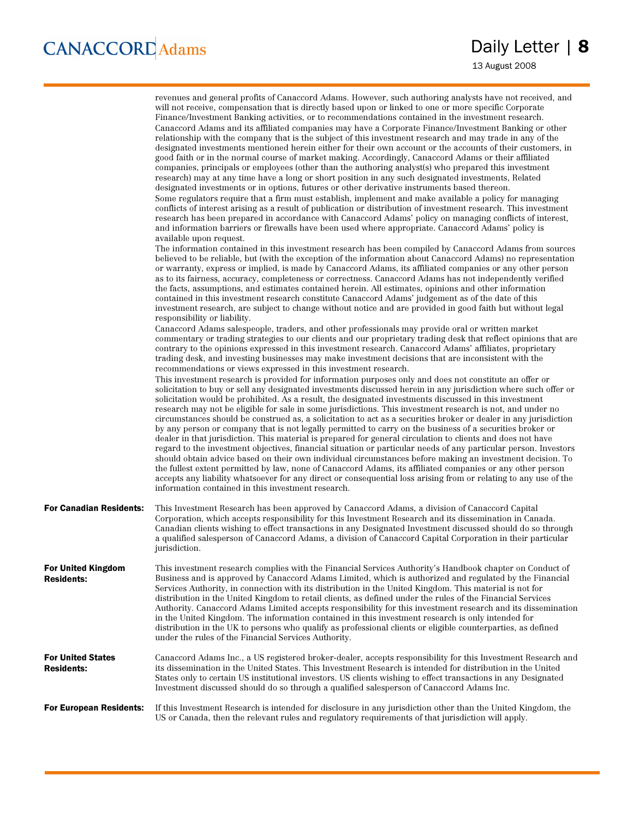13 August 2008

|                                               | revenues and general profits of Canaccord Adams. However, such authoring analysts have not received, and<br>will not receive, compensation that is directly based upon or linked to one or more specific Corporate<br>Finance/Investment Banking activities, or to recommendations contained in the investment research.<br>Canaccord Adams and its affiliated companies may have a Corporate Finance/Investment Banking or other<br>relationship with the company that is the subject of this investment research and may trade in any of the<br>designated investments mentioned herein either for their own account or the accounts of their customers, in<br>good faith or in the normal course of market making. Accordingly, Canaccord Adams or their affiliated<br>companies, principals or employees (other than the authoring analyst(s) who prepared this investment<br>research) may at any time have a long or short position in any such designated investments, Related<br>designated investments or in options, futures or other derivative instruments based thereon.<br>Some regulators require that a firm must establish, implement and make available a policy for managing<br>conflicts of interest arising as a result of publication or distribution of investment research. This investment<br>research has been prepared in accordance with Canaccord Adams' policy on managing conflicts of interest,<br>and information barriers or firewalls have been used where appropriate. Canaccord Adams' policy is<br>available upon request.                                                                                                                                                                                                                                                                        |
|-----------------------------------------------|-----------------------------------------------------------------------------------------------------------------------------------------------------------------------------------------------------------------------------------------------------------------------------------------------------------------------------------------------------------------------------------------------------------------------------------------------------------------------------------------------------------------------------------------------------------------------------------------------------------------------------------------------------------------------------------------------------------------------------------------------------------------------------------------------------------------------------------------------------------------------------------------------------------------------------------------------------------------------------------------------------------------------------------------------------------------------------------------------------------------------------------------------------------------------------------------------------------------------------------------------------------------------------------------------------------------------------------------------------------------------------------------------------------------------------------------------------------------------------------------------------------------------------------------------------------------------------------------------------------------------------------------------------------------------------------------------------------------------------------------------------------------------------------------------------------------------------------------|
|                                               | The information contained in this investment research has been compiled by Canaccord Adams from sources<br>believed to be reliable, but (with the exception of the information about Canaccord Adams) no representation<br>or warranty, express or implied, is made by Canaccord Adams, its affiliated companies or any other person<br>as to its fairness, accuracy, completeness or correctness. Canaccord Adams has not independently verified<br>the facts, assumptions, and estimates contained herein. All estimates, opinions and other information<br>contained in this investment research constitute Canaccord Adams' judgement as of the date of this<br>investment research, are subject to change without notice and are provided in good faith but without legal<br>responsibility or liability.                                                                                                                                                                                                                                                                                                                                                                                                                                                                                                                                                                                                                                                                                                                                                                                                                                                                                                                                                                                                                          |
|                                               | Canaccord Adams salespeople, traders, and other professionals may provide oral or written market<br>commentary or trading strategies to our clients and our proprietary trading desk that reflect opinions that are<br>contrary to the opinions expressed in this investment research. Canaccord Adams' affiliates, proprietary<br>trading desk, and investing businesses may make investment decisions that are inconsistent with the<br>recommendations or views expressed in this investment research.<br>This investment research is provided for information purposes only and does not constitute an offer or<br>solicitation to buy or sell any designated investments discussed herein in any jurisdiction where such offer or<br>solicitation would be prohibited. As a result, the designated investments discussed in this investment<br>research may not be eligible for sale in some jurisdictions. This investment research is not, and under no<br>circumstances should be construed as, a solicitation to act as a securities broker or dealer in any jurisdiction<br>by any person or company that is not legally permitted to carry on the business of a securities broker or<br>dealer in that jurisdiction. This material is prepared for general circulation to clients and does not have<br>regard to the investment objectives, financial situation or particular needs of any particular person. Investors<br>should obtain advice based on their own individual circumstances before making an investment decision. To<br>the fullest extent permitted by law, none of Canaccord Adams, its affiliated companies or any other person<br>accepts any liability whatsoever for any direct or consequential loss arising from or relating to any use of the<br>information contained in this investment research. |
| <b>For Canadian Residents:</b>                | This Investment Research has been approved by Canaccord Adams, a division of Canaccord Capital<br>Corporation, which accepts responsibility for this Investment Research and its dissemination in Canada.<br>Canadian clients wishing to effect transactions in any Designated Investment discussed should do so through<br>a qualified salesperson of Canaccord Adams, a division of Canaccord Capital Corporation in their particular<br>jurisdiction.                                                                                                                                                                                                                                                                                                                                                                                                                                                                                                                                                                                                                                                                                                                                                                                                                                                                                                                                                                                                                                                                                                                                                                                                                                                                                                                                                                                |
| For United Kingdom<br><b>Residents:</b>       | This investment research complies with the Financial Services Authority's Handbook chapter on Conduct of<br>Business and is approved by Canaccord Adams Limited, which is authorized and regulated by the Financial<br>Services Authority, in connection with its distribution in the United Kingdom. This material is not for<br>distribution in the United Kingdom to retail clients, as defined under the rules of the Financial Services<br>Authority. Canaccord Adams Limited accepts responsibility for this investment research and its dissemination<br>in the United Kingdom. The information contained in this investment research is only intended for<br>distribution in the UK to persons who qualify as professional clients or eligible counterparties, as defined<br>under the rules of the Financial Services Authority.                                                                                                                                                                                                                                                                                                                                                                                                                                                                                                                                                                                                                                                                                                                                                                                                                                                                                                                                                                                               |
| <b>For United States</b><br><b>Residents:</b> | Canaccord Adams Inc., a US registered broker-dealer, accepts responsibility for this Investment Research and<br>its dissemination in the United States. This Investment Research is intended for distribution in the United<br>States only to certain US institutional investors. US clients wishing to effect transactions in any Designated<br>Investment discussed should do so through a qualified salesperson of Canaccord Adams Inc.                                                                                                                                                                                                                                                                                                                                                                                                                                                                                                                                                                                                                                                                                                                                                                                                                                                                                                                                                                                                                                                                                                                                                                                                                                                                                                                                                                                              |
| <b>For European Residents:</b>                | If this Investment Research is intended for disclosure in any jurisdiction other than the United Kingdom, the<br>US or Canada, then the relevant rules and regulatory requirements of that jurisdiction will apply.                                                                                                                                                                                                                                                                                                                                                                                                                                                                                                                                                                                                                                                                                                                                                                                                                                                                                                                                                                                                                                                                                                                                                                                                                                                                                                                                                                                                                                                                                                                                                                                                                     |